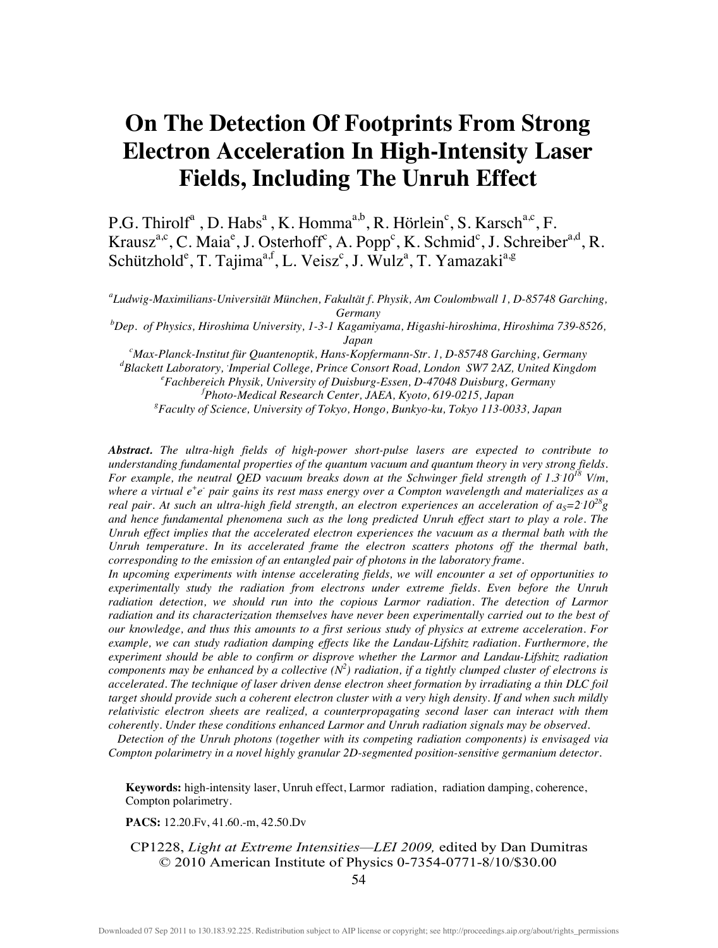# **On The Detection Of Footprints From Strong Electron Acceleration In High-Intensity Laser Fields, Including The Unruh Effect**

P.G. Thirolf<sup>a</sup>, D. Habs<sup>a</sup>, K. Homma<sup>a,b</sup>, R. Hörlein<sup>c</sup>, S. Karsch<sup>a,c</sup>, F. Krausz<sup>a,c</sup>, C. Maia<sup>e</sup>, J. Osterhoff<sup>c</sup>, A. Popp<sup>c</sup>, K. Schmid<sup>c</sup>, J. Schreiber<sup>a,d</sup>, R.  $Schützhold<sup>e</sup>, T. Tajima<sup>a,f</sup>, L. Veisz<sup>e</sup>, J. Wulz<sup>a</sup>, T. Yamazaki<sup>a,g</sup>$ 

*a Ludwig-Maximilians-Universität München, Fakultät f. Physik, Am Coulombwall 1, D-85748 Garching,* 

*Germany b Dep. of Physics, Hiroshima University, 1-3-1 Kagamiyama, Higashi-hiroshima, Hiroshima 739-8526,*  Japan<br><sup>c</sup>Max Planck Institut für Quantenontik, Hans Konf

*Max-Planck-Institut für Quantenoptik, Hans-Kopfermann-Str. 1, D-85748 Garching, Germany d Blackett Laboratory, , Imperial College, Prince Consort Road, London SW7 2AZ, United Kingdom e Fachbereich Physik, University of Duisburg-Essen, D-47048 Duisburg, Germany f Photo-Medical Research Center, JAEA, Kyoto, 619-0215, Japan g*

*Faculty of Science, University of Tokyo, Hongo, Bunkyo-ku, Tokyo 113-0033, Japan* 

*Abstract. The ultra-high fields of high-power short-pulse lasers are expected to contribute to understanding fundamental properties of the quantum vacuum and quantum theory in very strong fields. For example, the neutral QED vacuum breaks down at the Schwinger field strength of 1.3. 1018 V/m, where a virtual e<sup>+</sup>e<sup>-</sup> pair gains its rest mass energy over a Compton wavelength and materializes as a real pair. At such an ultra-high field strength, an electron experiences an acceleration of*  $a_s = 2.10^{28}$ *g and hence fundamental phenomena such as the long predicted Unruh effect start to play a role. The Unruh effect implies that the accelerated electron experiences the vacuum as a thermal bath with the Unruh temperature. In its accelerated frame the electron scatters photons off the thermal bath, corresponding to the emission of an entangled pair of photons in the laboratory frame.* 

*In upcoming experiments with intense accelerating fields, we will encounter a set of opportunities to experimentally study the radiation from electrons under extreme fields. Even before the Unruh*  radiation detection, we should run into the copious Larmor radiation. The detection of Larmor *radiation and its characterization themselves have never been experimentally carried out to the best of our knowledge, and thus this amounts to a first serious study of physics at extreme acceleration. For example, we can study radiation damping effects like the Landau-Lifshitz radiation. Furthermore, the experiment should be able to confirm or disprove whether the Larmor and Landau-Lifshitz radiation components may be enhanced by a collective*  $(N^2)$  radiation, if a tightly clumped cluster of electrons is *accelerated. The technique of laser driven dense electron sheet formation by irradiating a thin DLC foil target should provide such a coherent electron cluster with a very high density. If and when such mildly relativistic electron sheets are realized, a counterpropagating second laser can interact with them coherently. Under these conditions enhanced Larmor and Unruh radiation signals may be observed.* 

 *Detection of the Unruh photons (together with its competing radiation components) is envisaged via Compton polarimetry in a novel highly granular 2D-segmented position-sensitive germanium detector.* 

**Keywords:** high-intensity laser, Unruh effect, Larmor radiation, radiation damping, coherence, Compton polarimetry.

**PACS:** 12.20.Fv, 41.60.-m, 42.50.Dv

CP1228, *Light at Extreme Intensities—LEI 2009*, edited by Dan Dumitras<br>
© 2010 American Institute of Physics 0-7354-0771-8/10/\$30.00<br>
54<br>
Downloaded 07 Sep 2011 to 130.183.92.225. Redistribution subject to AIP license or © 2010 American Institute of Physics 0-7354-0771-8/10/\$30.00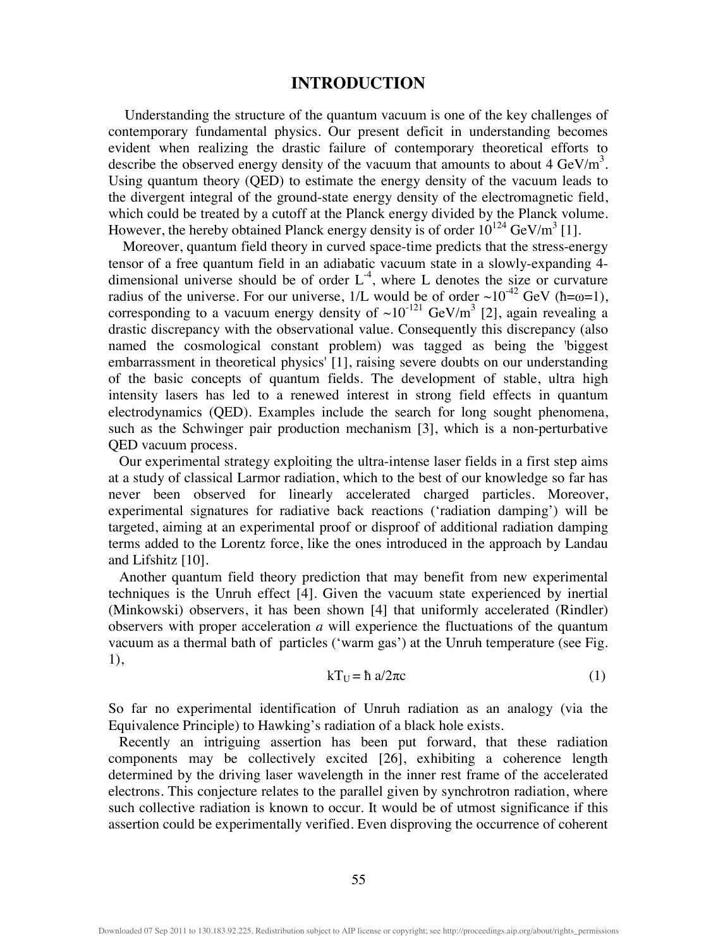# **INTRODUCTION**

Understanding the structure of the quantum vacuum is one of the key challenges of contemporary fundamental physics. Our present deficit in understanding becomes evident when realizing the drastic failure of contemporary theoretical efforts to describe the observed energy density of the vacuum that amounts to about 4 GeV/ $m<sup>3</sup>$ . Using quantum theory (QED) to estimate the energy density of the vacuum leads to the divergent integral of the ground-state energy density of the electromagnetic field, which could be treated by a cutoff at the Planck energy divided by the Planck volume. However, the hereby obtained Planck energy density is of order  $10^{124}$  GeV/m<sup>3</sup> [1].

 Moreover, quantum field theory in curved space-time predicts that the stress-energy tensor of a free quantum field in an adiabatic vacuum state in a slowly-expanding 4 dimensional universe should be of order  $L<sup>4</sup>$ , where L denotes the size or curvature radius of the universe. For our universe, 1/L would be of order  $\sim 10^{-42}$  GeV (h= $\omega$ =1), corresponding to a vacuum energy density of  $\sim 10^{-121}$  GeV/m<sup>3</sup> [2], again revealing a drastic discrepancy with the observational value. Consequently this discrepancy (also named the cosmological constant problem) was tagged as being the 'biggest embarrassment in theoretical physics' [1], raising severe doubts on our understanding of the basic concepts of quantum fields. The development of stable, ultra high intensity lasers has led to a renewed interest in strong field effects in quantum electrodynamics (QED). Examples include the search for long sought phenomena, such as the Schwinger pair production mechanism [3], which is a non-perturbative QED vacuum process.

 Our experimental strategy exploiting the ultra-intense laser fields in a first step aims at a study of classical Larmor radiation, which to the best of our knowledge so far has never been observed for linearly accelerated charged particles. Moreover, experimental signatures for radiative back reactions ('radiation damping') will be targeted, aiming at an experimental proof or disproof of additional radiation damping terms added to the Lorentz force, like the ones introduced in the approach by Landau and Lifshitz [10].

 Another quantum field theory prediction that may benefit from new experimental techniques is the Unruh effect [4]. Given the vacuum state experienced by inertial (Minkowski) observers, it has been shown [4] that uniformly accelerated (Rindler) observers with proper acceleration *a* will experience the fluctuations of the quantum vacuum as a thermal bath of particles ('warm gas') at the Unruh temperature (see Fig. 1),

$$
kT_U = \hbar a/2\pi c \tag{1}
$$

So far no experimental identification of Unruh radiation as an analogy (via the Equivalence Principle) to Hawking's radiation of a black hole exists.

 Recently an intriguing assertion has been put forward, that these radiation components may be collectively excited [26], exhibiting a coherence length determined by the driving laser wavelength in the inner rest frame of the accelerated electrons. This conjecture relates to the parallel given by synchrotron radiation, where such collective radiation is known to occur. It would be of utmost significance if this assertion could be experimentally verified. Even disproving the occurrence of coherent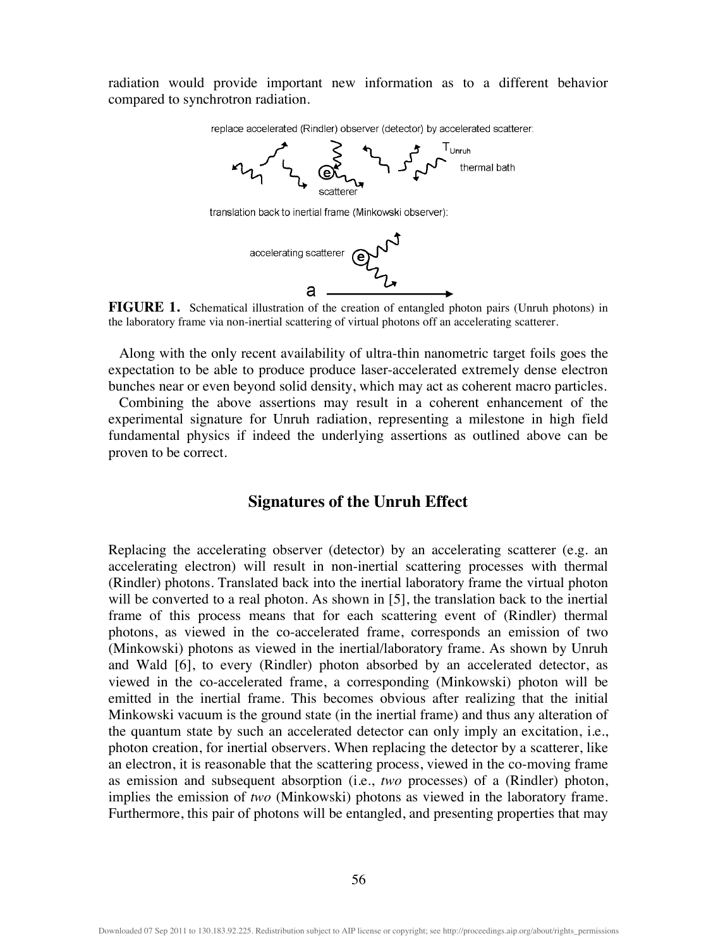radiation would provide important new information as to a different behavior compared to synchrotron radiation.

replace accelerated (Rindler) observer (detector) by accelerated scatterer:



translation back to inertial frame (Minkowski observer):



**FIGURE 1.** Schematical illustration of the creation of entangled photon pairs (Unruh photons) in the laboratory frame via non-inertial scattering of virtual photons off an accelerating scatterer.

 Along with the only recent availability of ultra-thin nanometric target foils goes the expectation to be able to produce produce laser-accelerated extremely dense electron bunches near or even beyond solid density, which may act as coherent macro particles.

 Combining the above assertions may result in a coherent enhancement of the experimental signature for Unruh radiation, representing a milestone in high field fundamental physics if indeed the underlying assertions as outlined above can be proven to be correct.

## **Signatures of the Unruh Effect**

Replacing the accelerating observer (detector) by an accelerating scatterer (e.g. an accelerating electron) will result in non-inertial scattering processes with thermal (Rindler) photons. Translated back into the inertial laboratory frame the virtual photon will be converted to a real photon. As shown in [5], the translation back to the inertial frame of this process means that for each scattering event of (Rindler) thermal photons, as viewed in the co-accelerated frame, corresponds an emission of two (Minkowski) photons as viewed in the inertial/laboratory frame. As shown by Unruh and Wald [6], to every (Rindler) photon absorbed by an accelerated detector, as viewed in the co-accelerated frame, a corresponding (Minkowski) photon will be emitted in the inertial frame. This becomes obvious after realizing that the initial Minkowski vacuum is the ground state (in the inertial frame) and thus any alteration of the quantum state by such an accelerated detector can only imply an excitation, i.e., photon creation, for inertial observers. When replacing the detector by a scatterer, like an electron, it is reasonable that the scattering process, viewed in the co-moving frame as emission and subsequent absorption (i.e., *two* processes) of a (Rindler) photon, implies the emission of *two* (Minkowski) photons as viewed in the laboratory frame. Furthermore, this pair of photons will be entangled, and presenting properties that may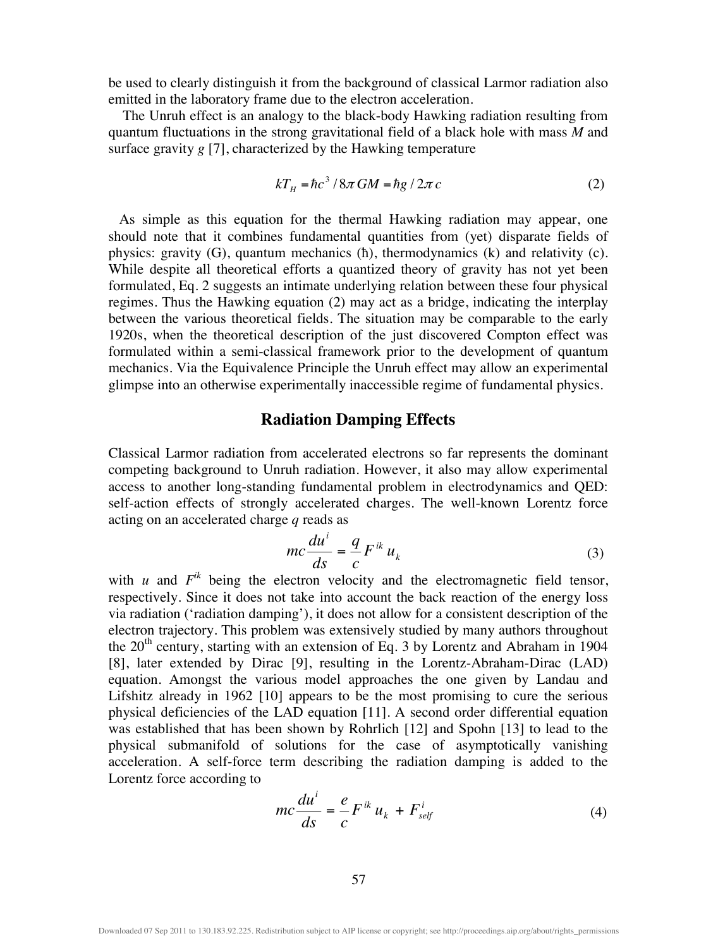be used to clearly distinguish it from the background of classical Larmor radiation also emitted in the laboratory frame due to the electron acceleration.

 The Unruh effect is an analogy to the black-body Hawking radiation resulting from quantum fluctuations in the strong gravitational field of a black hole with mass *M* and surface gravity *g* [7], characterized by the Hawking temperature

$$
kT_H = \hbar c^3 / 8\pi GM = \hbar g / 2\pi c \tag{2}
$$

 As simple as this equation for the thermal Hawking radiation may appear, one should note that it combines fundamental quantities from (yet) disparate fields of physics: gravity  $(G)$ , quantum mechanics  $(h)$ , thermodynamics  $(k)$  and relativity  $(c)$ . While despite all theoretical efforts a quantized theory of gravity has not yet been formulated, Eq. 2 suggests an intimate underlying relation between these four physical regimes. Thus the Hawking equation (2) may act as a bridge, indicating the interplay between the various theoretical fields. The situation may be comparable to the early 1920s, when the theoretical description of the just discovered Compton effect was formulated within a semi-classical framework prior to the development of quantum mechanics. Via the Equivalence Principle the Unruh effect may allow an experimental glimpse into an otherwise experimentally inaccessible regime of fundamental physics.

### **Radiation Damping Effects**

Classical Larmor radiation from accelerated electrons so far represents the dominant competing background to Unruh radiation. However, it also may allow experimental access to another long-standing fundamental problem in electrodynamics and QED: self-action effects of strongly accelerated charges. The well-known Lorentz force acting on an accelerated charge *q* reads as

$$
mc\frac{du^i}{ds} = \frac{q}{c}F^{ik}u_k
$$
 (3)

with *u* and  $F^{ik}$  being the electron velocity and the electromagnetic field tensor, respectively. Since it does not take into account the back reaction of the energy loss via radiation ('radiation damping'), it does not allow for a consistent description of the electron trajectory. This problem was extensively studied by many authors throughout the  $20<sup>th</sup>$  century, starting with an extension of Eq. 3 by Lorentz and Abraham in 1904 [8], later extended by Dirac [9], resulting in the Lorentz-Abraham-Dirac (LAD) equation. Amongst the various model approaches the one given by Landau and Lifshitz already in 1962 [10] appears to be the most promising to cure the serious physical deficiencies of the LAD equation [11]. A second order differential equation was established that has been shown by Rohrlich [12] and Spohn [13] to lead to the physical submanifold of solutions for the case of asymptotically vanishing acceleration. A self-force term describing the radiation damping is added to the Lorentz force according to

$$
mc\frac{du^{i}}{ds} = \frac{e}{c}F^{ik}u_{k} + F_{self}^{i}
$$
 (4)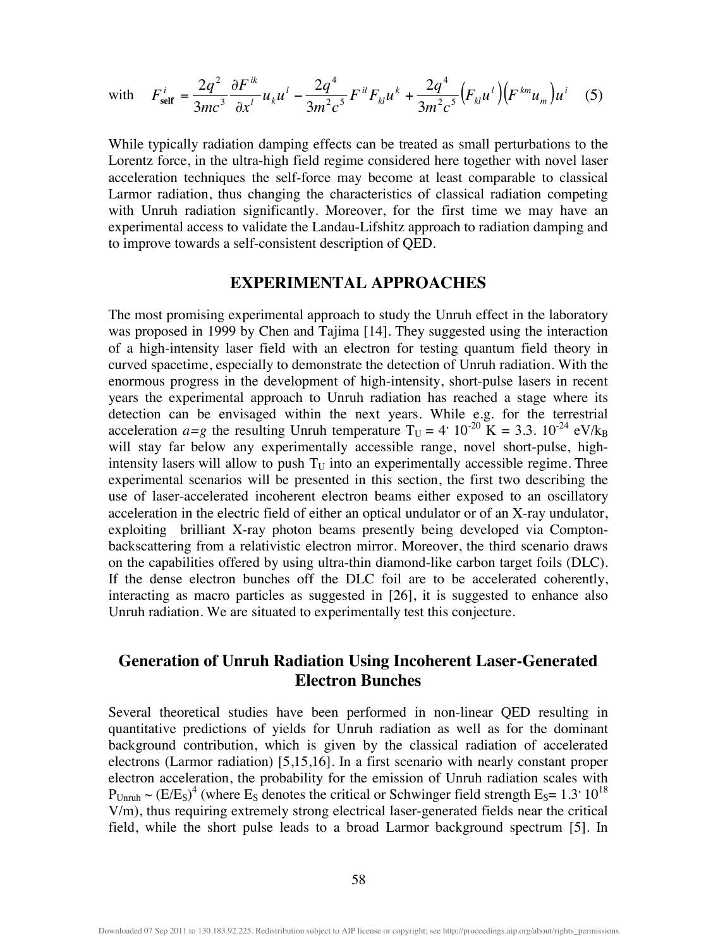with 
$$
F_{\text{self}}^i = \frac{2q^2}{3mc^3} \frac{\partial F^{ik}}{\partial x^l} u_k u^l - \frac{2q^4}{3m^2c^5} F^{il} F_{kl} u^k + \frac{2q^4}{3m^2c^5} (F_{kl} u^l) (F^{km} u_m) u^i
$$
 (5)

While typically radiation damping effects can be treated as small perturbations to the Lorentz force, in the ultra-high field regime considered here together with novel laser acceleration techniques the self-force may become at least comparable to classical Larmor radiation, thus changing the characteristics of classical radiation competing with Unruh radiation significantly. Moreover, for the first time we may have an experimental access to validate the Landau-Lifshitz approach to radiation damping and to improve towards a self-consistent description of QED.

#### **EXPERIMENTAL APPROACHES**

The most promising experimental approach to study the Unruh effect in the laboratory was proposed in 1999 by Chen and Tajima [14]. They suggested using the interaction of a high-intensity laser field with an electron for testing quantum field theory in curved spacetime, especially to demonstrate the detection of Unruh radiation. With the enormous progress in the development of high-intensity, short-pulse lasers in recent years the experimental approach to Unruh radiation has reached a stage where its detection can be envisaged within the next years. While e.g. for the terrestrial acceleration  $a=g$  the resulting Unruh temperature  $T_U = 4 \cdot 10^{-20}$  K = 3.3.  $10^{-24}$  eV/k<sub>B</sub> will stay far below any experimentally accessible range, novel short-pulse, highintensity lasers will allow to push  $T_U$  into an experimentally accessible regime. Three experimental scenarios will be presented in this section, the first two describing the use of laser-accelerated incoherent electron beams either exposed to an oscillatory acceleration in the electric field of either an optical undulator or of an X-ray undulator, exploiting brilliant X-ray photon beams presently being developed via Comptonbackscattering from a relativistic electron mirror. Moreover, the third scenario draws on the capabilities offered by using ultra-thin diamond-like carbon target foils (DLC). If the dense electron bunches off the DLC foil are to be accelerated coherently, interacting as macro particles as suggested in [26], it is suggested to enhance also Unruh radiation. We are situated to experimentally test this conjecture.

## **Generation of Unruh Radiation Using Incoherent Laser-Generated Electron Bunches**

Several theoretical studies have been performed in non-linear QED resulting in quantitative predictions of yields for Unruh radiation as well as for the dominant background contribution, which is given by the classical radiation of accelerated electrons (Larmor radiation) [5,15,16]. In a first scenario with nearly constant proper electron acceleration, the probability for the emission of Unruh radiation scales with  $P_{\text{Unruh}} \sim (E/E_S)^4$  (where  $E_S$  denotes the critical or Schwinger field strength  $E_S = 1.3 \cdot 10^{18}$ V/m), thus requiring extremely strong electrical laser-generated fields near the critical field, while the short pulse leads to a broad Larmor background spectrum [5]. In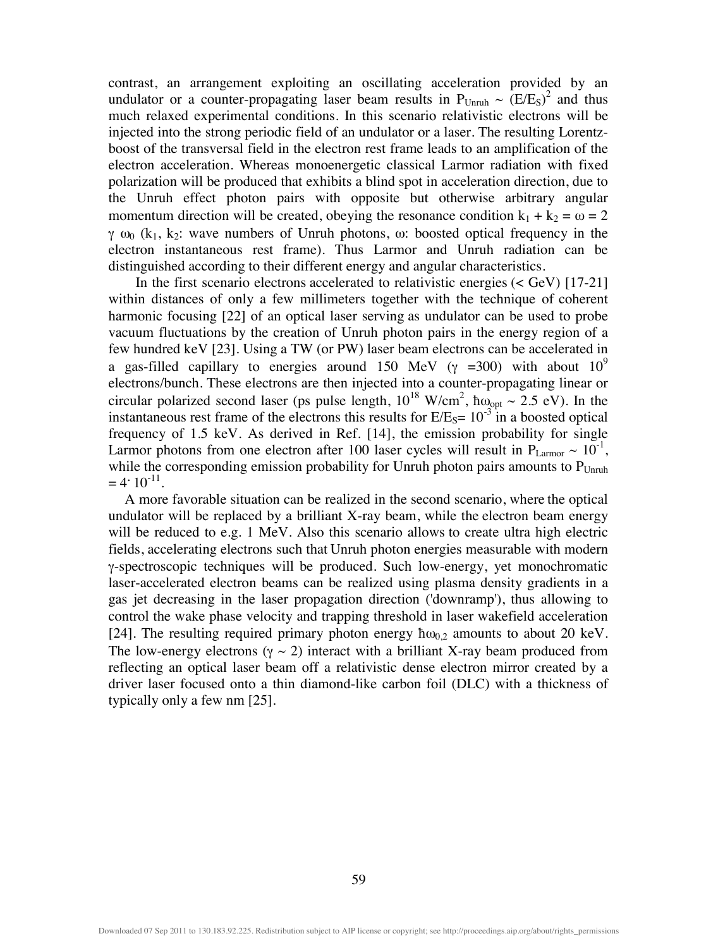contrast, an arrangement exploiting an oscillating acceleration provided by an undulator or a counter-propagating laser beam results in  $P_{Unruh} \sim (E/E_s)^2$  and thus much relaxed experimental conditions. In this scenario relativistic electrons will be injected into the strong periodic field of an undulator or a laser. The resulting Lorentzboost of the transversal field in the electron rest frame leads to an amplification of the electron acceleration. Whereas monoenergetic classical Larmor radiation with fixed polarization will be produced that exhibits a blind spot in acceleration direction, due to the Unruh effect photon pairs with opposite but otherwise arbitrary angular momentum direction will be created, obeying the resonance condition  $k_1 + k_2 = \omega = 2$  $\gamma$  ω<sub>0</sub> (k<sub>1</sub>, k<sub>2</sub>: wave numbers of Unruh photons, ω: boosted optical frequency in the electron instantaneous rest frame). Thus Larmor and Unruh radiation can be distinguished according to their different energy and angular characteristics.

In the first scenario electrons accelerated to relativistic energies  $( $GeV$ )$  [17-21] within distances of only a few millimeters together with the technique of coherent harmonic focusing [22] of an optical laser serving as undulator can be used to probe vacuum fluctuations by the creation of Unruh photon pairs in the energy region of a few hundred keV [23]. Using a TW (or PW) laser beam electrons can be accelerated in a gas-filled capillary to energies around 150 MeV ( $\gamma$  =300) with about 10<sup>9</sup> electrons/bunch. These electrons are then injected into a counter-propagating linear or circular polarized second laser (ps pulse length,  $10^{18}$  W/cm<sup>2</sup>,  $\hbar \omega_{opt} \sim 2.5$  eV). In the instantaneous rest frame of the electrons this results for  $E/E_S=10^{-3}$  in a boosted optical frequency of 1.5 keV. As derived in Ref. [14], the emission probability for single Larmor photons from one electron after 100 laser cycles will result in  $P_{Larmor} \sim 10^{-1}$ , while the corresponding emission probability for Unruh photon pairs amounts to  $P_{Unruh}$  $= 4.10^{-11}.$ 

A more favorable situation can be realized in the second scenario, where the optical undulator will be replaced by a brilliant X-ray beam, while the electron beam energy will be reduced to e.g. 1 MeV. Also this scenario allows to create ultra high electric fields, accelerating electrons such that Unruh photon energies measurable with modern γ-spectroscopic techniques will be produced. Such low-energy, yet monochromatic laser-accelerated electron beams can be realized using plasma density gradients in a gas jet decreasing in the laser propagation direction ('downramp'), thus allowing to control the wake phase velocity and trapping threshold in laser wakefield acceleration [24]. The resulting required primary photon energy  $\hbar \omega_{0,2}$  amounts to about 20 keV. The low-energy electrons ( $\gamma \sim 2$ ) interact with a brilliant X-ray beam produced from reflecting an optical laser beam off a relativistic dense electron mirror created by a driver laser focused onto a thin diamond-like carbon foil (DLC) with a thickness of typically only a few nm [25].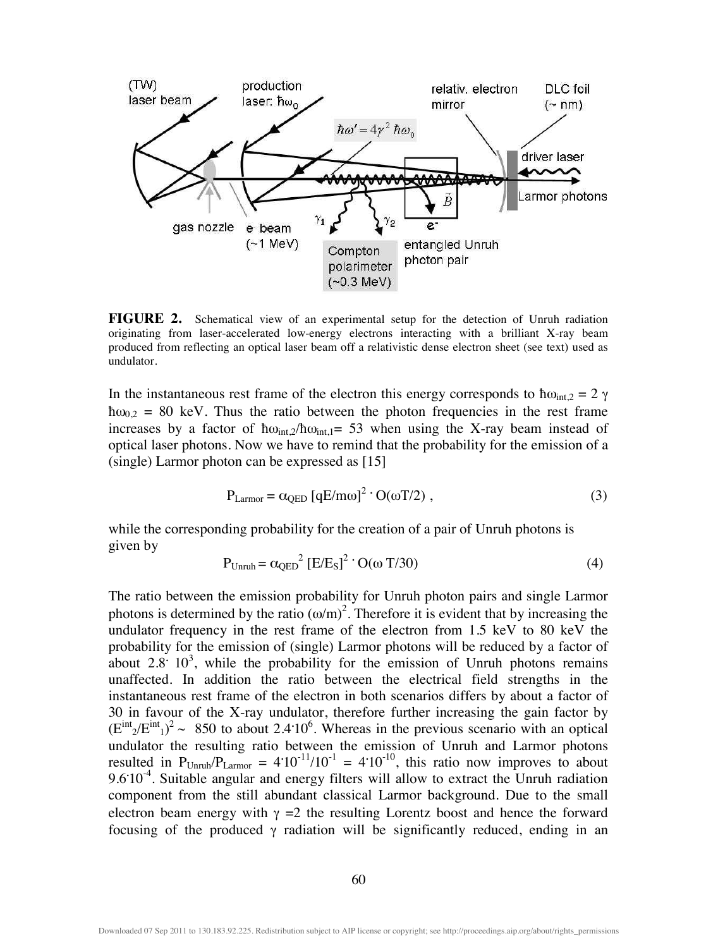

**FIGURE 2.** Schematical view of an experimental setup for the detection of Unruh radiation originating from laser-accelerated low-energy electrons interacting with a brilliant X-ray beam produced from reflecting an optical laser beam off a relativistic dense electron sheet (see text) used as undulator.

In the instantaneous rest frame of the electron this energy corresponds to  $\hbar\omega_{\text{int,2}} = 2 \gamma$  $\hbar\omega_{0,2}$  = 80 keV. Thus the ratio between the photon frequencies in the rest frame increases by a factor of  $\hbar \omega_{int}$  / $\hbar \omega_{int}$  = 53 when using the X-ray beam instead of optical laser photons. Now we have to remind that the probability for the emission of a (single) Larmor photon can be expressed as [15]

$$
P_{Larmor} = \alpha_{QED} \left[ qE/m\omega \right]^2 \cdot O(\omega T/2) , \qquad (3)
$$

while the corresponding probability for the creation of a pair of Unruh photons is given by

$$
P_{\text{Unruh}} = \alpha_{\text{QED}}^2 \left[ E/E_S \right]^2 \cdot O(\omega \, T/30) \tag{4}
$$

The ratio between the emission probability for Unruh photon pairs and single Larmor photons is determined by the ratio  $(\omega/m)^2$ . Therefore it is evident that by increasing the undulator frequency in the rest frame of the electron from 1.5 keV to 80 keV the probability for the emission of (single) Larmor photons will be reduced by a factor of about  $2.8$   $10^3$ , while the probability for the emission of Unruh photons remains unaffected. In addition the ratio between the electrical field strengths in the instantaneous rest frame of the electron in both scenarios differs by about a factor of 30 in favour of the X-ray undulator, therefore further increasing the gain factor by  $(E^{int} {}_{2}/E^{int} {}_{1})^{2}$  ~ 850 to about 2.4<sup>-10<sup>6</sup>. Whereas in the previous scenario with an optical</sup> undulator the resulting ratio between the emission of Unruh and Larmor photons resulted in  $P_{Unruh}/P_{Larmor} = 4.10^{-11}/10^{-1} = 4.10^{-10}$ , this ratio now improves to about 9.6<sup>10<sup>-4</sup>. Suitable angular and energy filters will allow to extract the Unruh radiation</sup> component from the still abundant classical Larmor background. Due to the small electron beam energy with  $\gamma = 2$  the resulting Lorentz boost and hence the forward focusing of the produced  $\gamma$  radiation will be significantly reduced, ending in an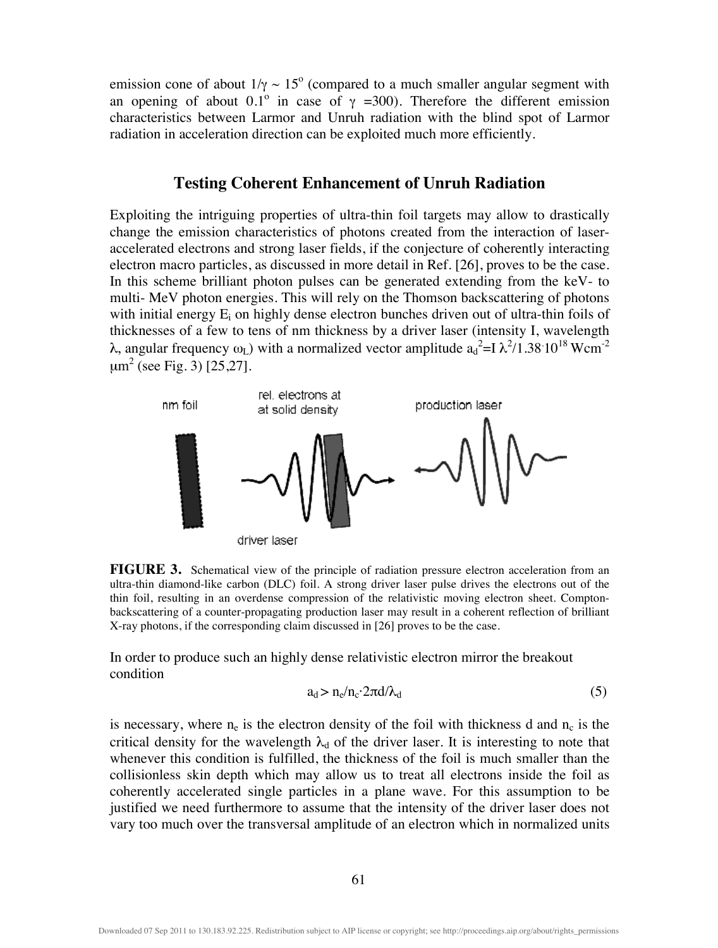emission cone of about  $1/\gamma \sim 15^{\circ}$  (compared to a much smaller angular segment with an opening of about 0.1<sup>°</sup> in case of  $\gamma$  =300). Therefore the different emission characteristics between Larmor and Unruh radiation with the blind spot of Larmor radiation in acceleration direction can be exploited much more efficiently.

### **Testing Coherent Enhancement of Unruh Radiation**

Exploiting the intriguing properties of ultra-thin foil targets may allow to drastically change the emission characteristics of photons created from the interaction of laseraccelerated electrons and strong laser fields, if the conjecture of coherently interacting electron macro particles, as discussed in more detail in Ref. [26], proves to be the case. In this scheme brilliant photon pulses can be generated extending from the keV- to multi- MeV photon energies. This will rely on the Thomson backscattering of photons with initial energy  $E_i$  on highly dense electron bunches driven out of ultra-thin foils of thicknesses of a few to tens of nm thickness by a driver laser (intensity I, wavelength λ, angular frequency ω<sub>L</sub>) with a normalized vector amplitude  $a_d^2 = I \lambda^2 / 1.38 \cdot 10^{18}$  Wcm<sup>-2</sup>  $\mu$ m<sup>2</sup> (see Fig. 3) [25,27].



**FIGURE 3.** Schematical view of the principle of radiation pressure electron acceleration from an ultra-thin diamond-like carbon (DLC) foil. A strong driver laser pulse drives the electrons out of the thin foil, resulting in an overdense compression of the relativistic moving electron sheet. Comptonbackscattering of a counter-propagating production laser may result in a coherent reflection of brilliant X-ray photons, if the corresponding claim discussed in [26] proves to be the case.

In order to produce such an highly dense relativistic electron mirror the breakout condition

$$
a_d > n_e / n_c \cdot 2\pi d / \lambda_d \tag{5}
$$

is necessary, where  $n_e$  is the electron density of the foil with thickness d and  $n_e$  is the critical density for the wavelength  $\lambda_d$  of the driver laser. It is interesting to note that whenever this condition is fulfilled, the thickness of the foil is much smaller than the collisionless skin depth which may allow us to treat all electrons inside the foil as coherently accelerated single particles in a plane wave. For this assumption to be justified we need furthermore to assume that the intensity of the driver laser does not vary too much over the transversal amplitude of an electron which in normalized units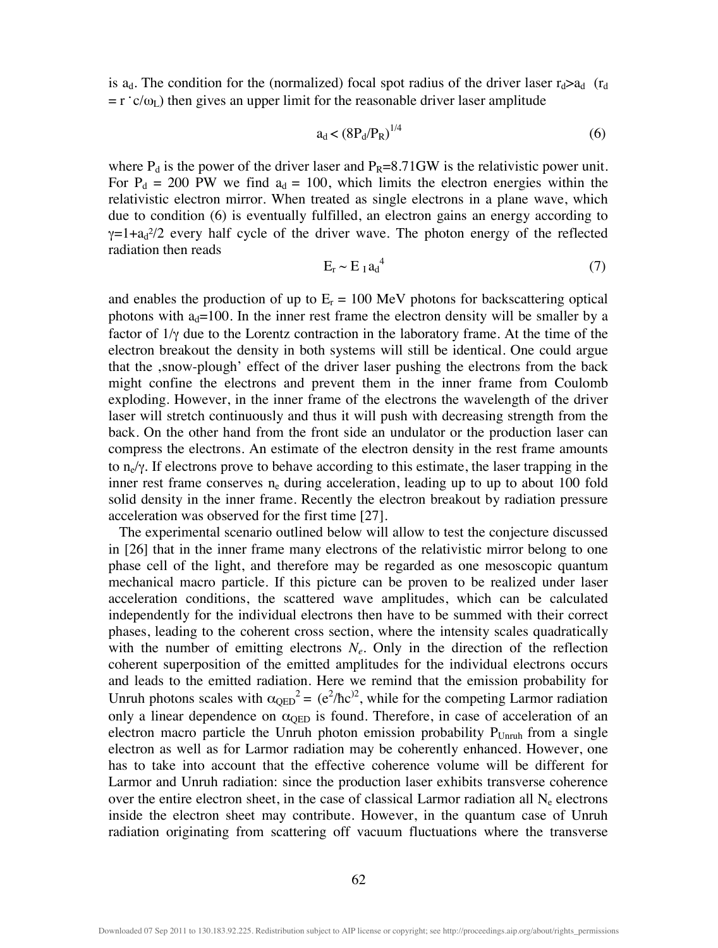is a<sub>d</sub>. The condition for the (normalized) focal spot radius of the driver laser  $r_d > a_d$  ( $r_d$ )  $= r \cdot c/\omega_L$ ) then gives an upper limit for the reasonable driver laser amplitude

$$
a_{d} < (8P_{d}/P_{R})^{1/4}
$$
 (6)

where  $P_d$  is the power of the driver laser and  $P_R = 8.71$  GW is the relativistic power unit. For  $P_d = 200$  PW we find  $a_d = 100$ , which limits the electron energies within the relativistic electron mirror. When treated as single electrons in a plane wave, which due to condition (6) is eventually fulfilled, an electron gains an energy according to  $\gamma=1+a_d^2/2$  every half cycle of the driver wave. The photon energy of the reflected radiation then reads

$$
E_r \sim E_{I} a_d^{4} \tag{7}
$$

and enables the production of up to  $E_r = 100$  MeV photons for backscattering optical photons with  $a_d=100$ . In the inner rest frame the electron density will be smaller by a factor of 1/γ due to the Lorentz contraction in the laboratory frame. At the time of the electron breakout the density in both systems will still be identical. One could argue that the ,snow-plough' effect of the driver laser pushing the electrons from the back might confine the electrons and prevent them in the inner frame from Coulomb exploding. However, in the inner frame of the electrons the wavelength of the driver laser will stretch continuously and thus it will push with decreasing strength from the back. On the other hand from the front side an undulator or the production laser can compress the electrons. An estimate of the electron density in the rest frame amounts to n<sub>e</sub> $\gamma$ . If electrons prove to behave according to this estimate, the laser trapping in the inner rest frame conserves  $n_e$  during acceleration, leading up to up to about 100 fold solid density in the inner frame. Recently the electron breakout by radiation pressure acceleration was observed for the first time [27].

 The experimental scenario outlined below will allow to test the conjecture discussed in [26] that in the inner frame many electrons of the relativistic mirror belong to one phase cell of the light, and therefore may be regarded as one mesoscopic quantum mechanical macro particle. If this picture can be proven to be realized under laser acceleration conditions, the scattered wave amplitudes, which can be calculated independently for the individual electrons then have to be summed with their correct phases, leading to the coherent cross section, where the intensity scales quadratically with the number of emitting electrons  $N_e$ . Only in the direction of the reflection coherent superposition of the emitted amplitudes for the individual electrons occurs and leads to the emitted radiation. Here we remind that the emission probability for Unruh photons scales with  $\alpha_{QED}^2 = (e^2/\hbar c)^2$ , while for the competing Larmor radiation only a linear dependence on  $\alpha_{\text{OED}}$  is found. Therefore, in case of acceleration of an electron macro particle the Unruh photon emission probability  $P_{Unruh}$  from a single electron as well as for Larmor radiation may be coherently enhanced. However, one has to take into account that the effective coherence volume will be different for Larmor and Unruh radiation: since the production laser exhibits transverse coherence over the entire electron sheet, in the case of classical Larmor radiation all  $N_e$  electrons inside the electron sheet may contribute. However, in the quantum case of Unruh radiation originating from scattering off vacuum fluctuations where the transverse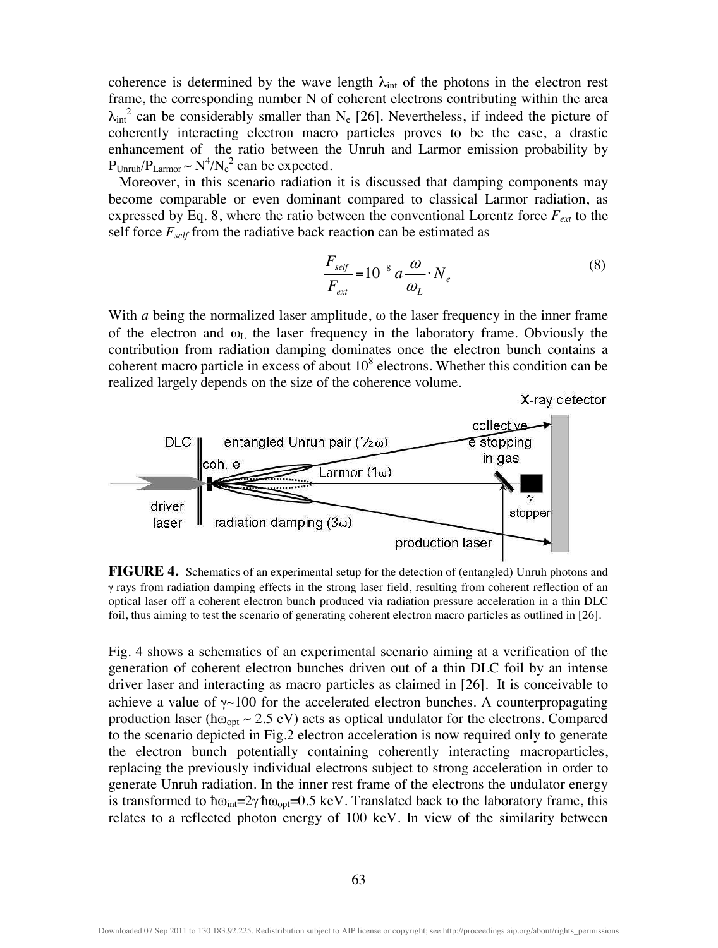coherence is determined by the wave length  $\lambda_{\text{int}}$  of the photons in the electron rest frame, the corresponding number N of coherent electrons contributing within the area  $\lambda_{int}^2$  can be considerably smaller than N<sub>e</sub> [26]. Nevertheless, if indeed the picture of coherently interacting electron macro particles proves to be the case, a drastic enhancement of the ratio between the Unruh and Larmor emission probability by  $P_{\text{Unruh}}/P_{\text{Larmor}} \sim N^4/N_e^2$  can be expected.

 Moreover, in this scenario radiation it is discussed that damping components may become comparable or even dominant compared to classical Larmor radiation, as expressed by Eq. 8, where the ratio between the conventional Lorentz force  $F_{ext}$  to the self force  $F_{\text{self}}$  from the radiative back reaction can be estimated as

$$
\frac{F_{self}}{F_{ext}} = 10^{-8} a \frac{\omega}{\omega_L} \cdot N_e
$$
 (8)

With *a* being the normalized laser amplitude,  $\omega$  the laser frequency in the inner frame of the electron and  $\omega_L$  the laser frequency in the laboratory frame. Obviously the contribution from radiation damping dominates once the electron bunch contains a coherent macro particle in excess of about  $10^8$  electrons. Whether this condition can be realized largely depends on the size of the coherence volume.

X-ray detector



**FIGURE 4.** Schematics of an experimental setup for the detection of (entangled) Unruh photons and γ rays from radiation damping effects in the strong laser field, resulting from coherent reflection of an optical laser off a coherent electron bunch produced via radiation pressure acceleration in a thin DLC foil, thus aiming to test the scenario of generating coherent electron macro particles as outlined in [26].

Fig. 4 shows a schematics of an experimental scenario aiming at a verification of the generation of coherent electron bunches driven out of a thin DLC foil by an intense driver laser and interacting as macro particles as claimed in [26]. It is conceivable to achieve a value of  $\gamma$ ~100 for the accelerated electron bunches. A counterpropagating production laser ( $\hbar \omega_{\text{opt}} \sim 2.5 \text{ eV}$ ) acts as optical undulator for the electrons. Compared to the scenario depicted in Fig.2 electron acceleration is now required only to generate the electron bunch potentially containing coherently interacting macroparticles, replacing the previously individual electrons subject to strong acceleration in order to generate Unruh radiation. In the inner rest frame of the electrons the undulator energy is transformed to  $\hbar \omega_{int} = 2\gamma \hbar \omega_{opt} = 0.5 \text{ keV}$ . Translated back to the laboratory frame, this relates to a reflected photon energy of 100 keV. In view of the similarity between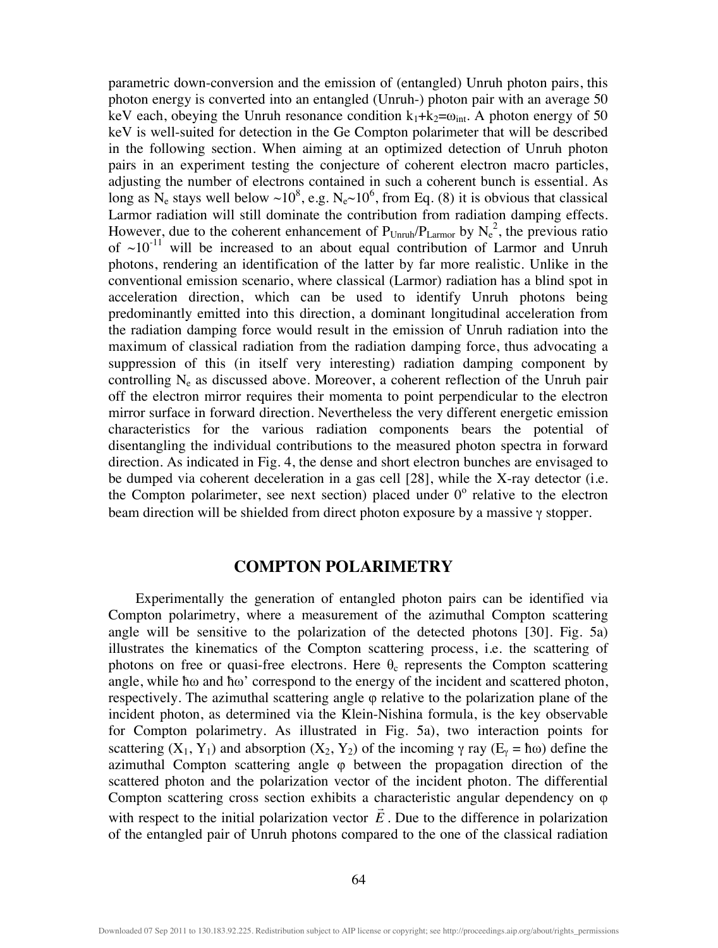parametric down-conversion and the emission of (entangled) Unruh photon pairs, this photon energy is converted into an entangled (Unruh-) photon pair with an average 50 keV each, obeying the Unruh resonance condition  $k_1+k_2=0$ <sub>int</sub>. A photon energy of 50 keV is well-suited for detection in the Ge Compton polarimeter that will be described in the following section. When aiming at an optimized detection of Unruh photon pairs in an experiment testing the conjecture of coherent electron macro particles, adjusting the number of electrons contained in such a coherent bunch is essential. As long as N<sub>e</sub> stays well below ~10<sup>8</sup>, e.g. N<sub>e</sub>~10<sup>6</sup>, from Eq. (8) it is obvious that classical Larmor radiation will still dominate the contribution from radiation damping effects. However, due to the coherent enhancement of  $P_{\text{Unruh}}/P_{\text{Larmor}}$  by  $N_e^2$ , the previous ratio of  $\sim 10^{-11}$  will be increased to an about equal contribution of Larmor and Unruh photons, rendering an identification of the latter by far more realistic. Unlike in the conventional emission scenario, where classical (Larmor) radiation has a blind spot in acceleration direction, which can be used to identify Unruh photons being predominantly emitted into this direction, a dominant longitudinal acceleration from the radiation damping force would result in the emission of Unruh radiation into the maximum of classical radiation from the radiation damping force, thus advocating a suppression of this (in itself very interesting) radiation damping component by controlling  $N_e$  as discussed above. Moreover, a coherent reflection of the Unruh pair off the electron mirror requires their momenta to point perpendicular to the electron mirror surface in forward direction. Nevertheless the very different energetic emission characteristics for the various radiation components bears the potential of disentangling the individual contributions to the measured photon spectra in forward direction. As indicated in Fig. 4, the dense and short electron bunches are envisaged to be dumped via coherent deceleration in a gas cell [28], while the X-ray detector (i.e. the Compton polarimeter, see next section) placed under  $0^{\circ}$  relative to the electron beam direction will be shielded from direct photon exposure by a massive γ stopper.

#### **COMPTON POLARIMETRY**

 Experimentally the generation of entangled photon pairs can be identified via Compton polarimetry, where a measurement of the azimuthal Compton scattering angle will be sensitive to the polarization of the detected photons [30]. Fig. 5a) illustrates the kinematics of the Compton scattering process, i.e. the scattering of photons on free or quasi-free electrons. Here  $\theta_c$  represents the Compton scattering angle, while  $\hbar \omega$  and  $\hbar \omega$ ' correspond to the energy of the incident and scattered photon, respectively. The azimuthal scattering angle  $\varphi$  relative to the polarization plane of the incident photon, as determined via the Klein-Nishina formula, is the key observable for Compton polarimetry. As illustrated in Fig. 5a), two interaction points for scattering  $(X_1, Y_1)$  and absorption  $(X_2, Y_2)$  of the incoming  $\gamma$  ray  $(E_\gamma = \hbar \omega)$  define the azimuthal Compton scattering angle  $\varphi$  between the propagation direction of the scattered photon and the polarization vector of the incident photon. The differential Compton scattering cross section exhibits a characteristic angular dependency on  $\varphi$ with respect to the initial polarization vector  $\vec{E}$ . Due to the difference in polarization of the entangled pair of Unruh photons compared to the one of the classical radiation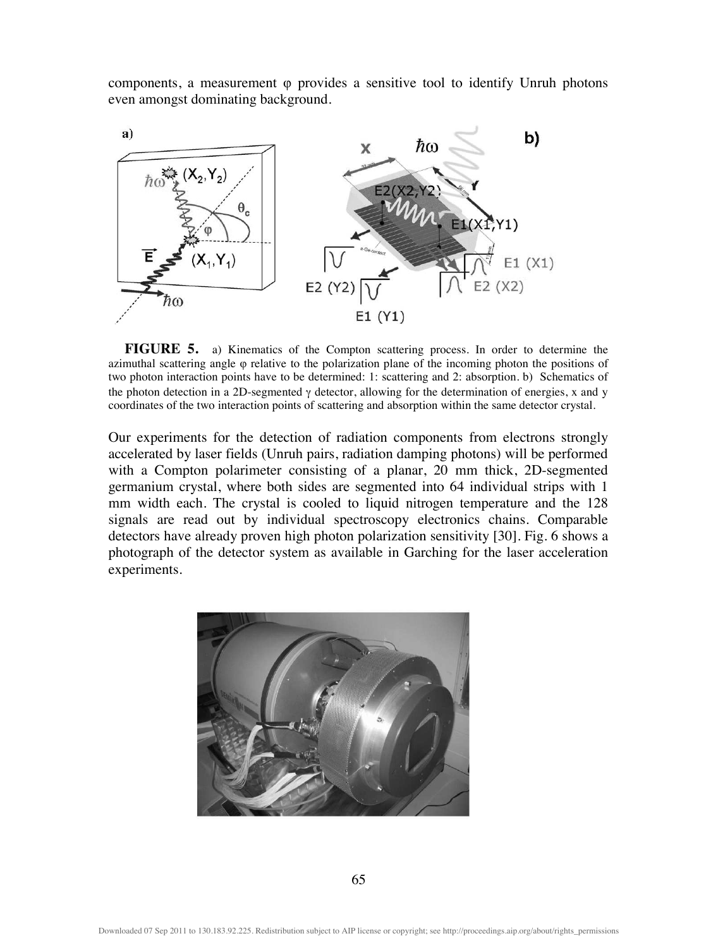components, a measurement  $\varphi$  provides a sensitive tool to identify Unruh photons even amongst dominating background.



**FIGURE 5.** a) Kinematics of the Compton scattering process. In order to determine the azimuthal scattering angle  $\varphi$  relative to the polarization plane of the incoming photon the positions of two photon interaction points have to be determined: 1: scattering and 2: absorption. b) Schematics of the photon detection in a 2D-segmented  $\gamma$  detector, allowing for the determination of energies, x and y coordinates of the two interaction points of scattering and absorption within the same detector crystal.

Our experiments for the detection of radiation components from electrons strongly accelerated by laser fields (Unruh pairs, radiation damping photons) will be performed with a Compton polarimeter consisting of a planar, 20 mm thick, 2D-segmented germanium crystal, where both sides are segmented into 64 individual strips with 1 mm width each. The crystal is cooled to liquid nitrogen temperature and the 128 signals are read out by individual spectroscopy electronics chains. Comparable detectors have already proven high photon polarization sensitivity [30]. Fig. 6 shows a photograph of the detector system as available in Garching for the laser acceleration experiments.

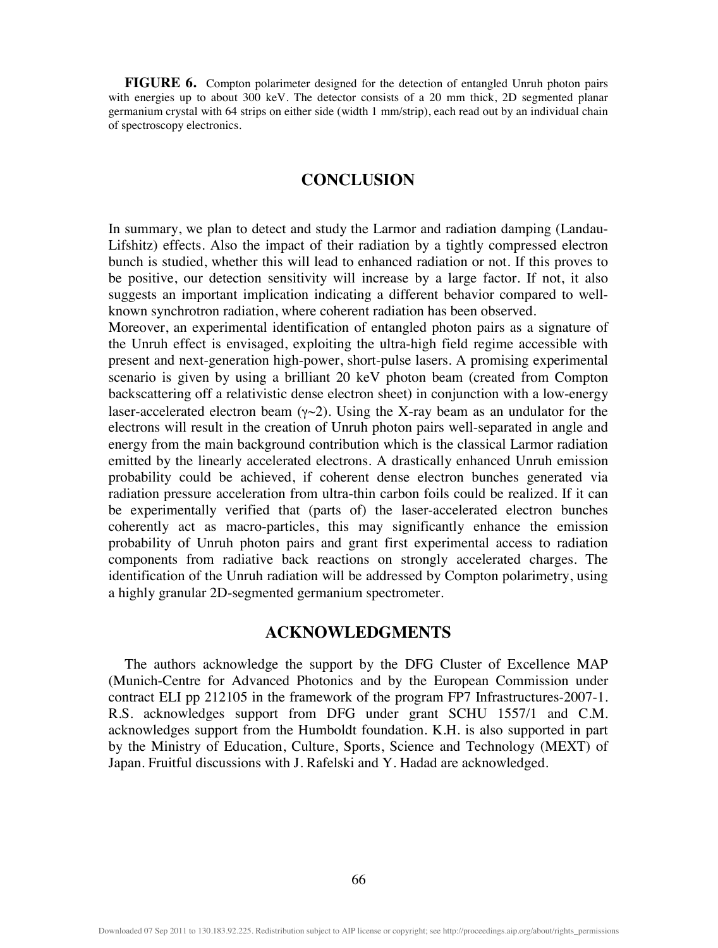**FIGURE 6.** Compton polarimeter designed for the detection of entangled Unruh photon pairs with energies up to about 300 keV. The detector consists of a 20 mm thick, 2D segmented planar germanium crystal with 64 strips on either side (width 1 mm/strip), each read out by an individual chain of spectroscopy electronics.

## **CONCLUSION**

In summary, we plan to detect and study the Larmor and radiation damping (Landau-Lifshitz) effects. Also the impact of their radiation by a tightly compressed electron bunch is studied, whether this will lead to enhanced radiation or not. If this proves to be positive, our detection sensitivity will increase by a large factor. If not, it also suggests an important implication indicating a different behavior compared to wellknown synchrotron radiation, where coherent radiation has been observed.

Moreover, an experimental identification of entangled photon pairs as a signature of the Unruh effect is envisaged, exploiting the ultra-high field regime accessible with present and next-generation high-power, short-pulse lasers. A promising experimental scenario is given by using a brilliant 20 keV photon beam (created from Compton backscattering off a relativistic dense electron sheet) in conjunction with a low-energy laser-accelerated electron beam ( $\gamma \sim 2$ ). Using the X-ray beam as an undulator for the electrons will result in the creation of Unruh photon pairs well-separated in angle and energy from the main background contribution which is the classical Larmor radiation emitted by the linearly accelerated electrons. A drastically enhanced Unruh emission probability could be achieved, if coherent dense electron bunches generated via radiation pressure acceleration from ultra-thin carbon foils could be realized. If it can be experimentally verified that (parts of) the laser-accelerated electron bunches coherently act as macro-particles, this may significantly enhance the emission probability of Unruh photon pairs and grant first experimental access to radiation components from radiative back reactions on strongly accelerated charges. The identification of the Unruh radiation will be addressed by Compton polarimetry, using a highly granular 2D-segmented germanium spectrometer.

#### **ACKNOWLEDGMENTS**

The authors acknowledge the support by the DFG Cluster of Excellence MAP (Munich-Centre for Advanced Photonics and by the European Commission under contract ELI pp 212105 in the framework of the program FP7 Infrastructures-2007-1. R.S. acknowledges support from DFG under grant SCHU 1557/1 and C.M. acknowledges support from the Humboldt foundation. K.H. is also supported in part by the Ministry of Education, Culture, Sports, Science and Technology (MEXT) of Japan. Fruitful discussions with J. Rafelski and Y. Hadad are acknowledged.